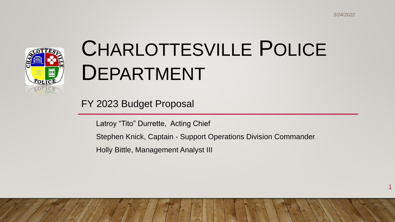1



# CHARLOTTESVILLE POLICE DEPARTMENT

FY 2023 Budget Proposal

Latroy "Tito" Durrette, Acting Chief

Stephen Knick, Captain - Support Operations Division Commander

Holly Bittle, Management Analyst III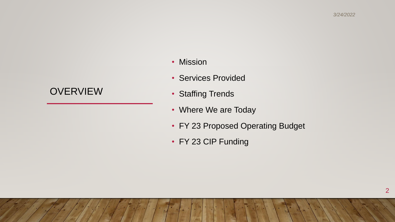#### **OVERVIEW**

- Mission
- Services Provided
- Staffing Trends
- Where We are Today
- FY 23 Proposed Operating Budget
- FY 23 CIP Funding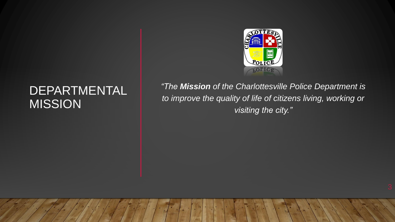## DEPARTMENTAL MISSION



*"The Mission of the Charlottesville Police Department is to improve the quality of life of citizens living, working or visiting the city."*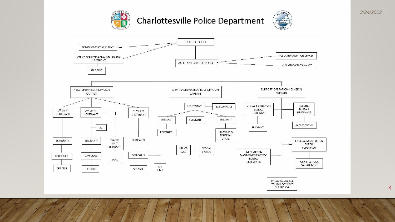

#### Charlottesville Police Department





4

*3/24/2022*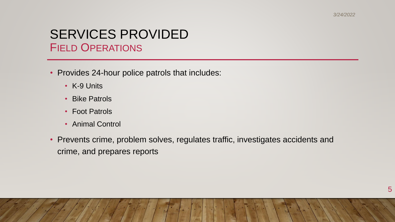#### SERVICES PROVIDED FIELD OPERATIONS

- Provides 24-hour police patrols that includes:
	- K-9 Units
	- Bike Patrols
	- Foot Patrols
	- Animal Control
- Prevents crime, problem solves, regulates traffic, investigates accidents and crime, and prepares reports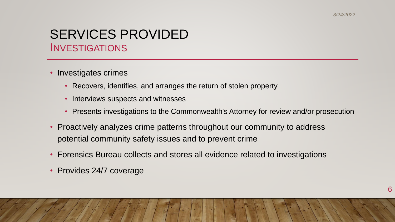#### SERVICES PROVIDED **INVESTIGATIONS**

- Investigates crimes
	- Recovers, identifies, and arranges the return of stolen property
	- Interviews suspects and witnesses
	- Presents investigations to the Commonwealth's Attorney for review and/or prosecution
- Proactively analyzes crime patterns throughout our community to address potential community safety issues and to prevent crime
- Forensics Bureau collects and stores all evidence related to investigations
- Provides 24/7 coverage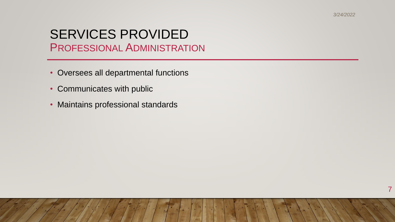#### SERVICES PROVIDED PROFESSIONAL ADMINISTRATION

- Oversees all departmental functions
- Communicates with public
- Maintains professional standards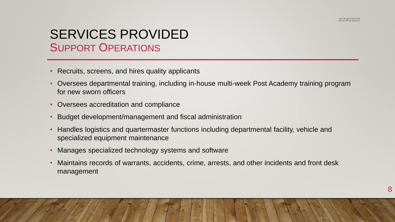### SERVICES PROVIDED SUPPORT OPERATIONS

- Recruits, screens, and hires quality applicants
- Oversees departmental training, including in-house multi-week Post Academy training program for new sworn officers
- Oversees accreditation and compliance
- Budget development/management and fiscal administration
- Handles logistics and quartermaster functions including departmental facility, vehicle and specialized equipment maintenance
- Manages specialized technology systems and software
- Maintains records of warrants, accidents, crime, arrests, and other incidents and front desk management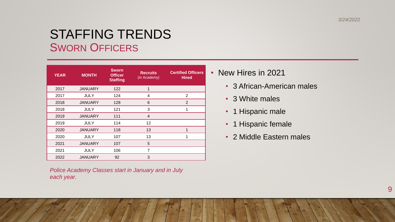*3/24/2022*

#### STAFFING TRENDS SWORN OFFICERS

| <b>YEAR</b> | <b>MONTH</b>   | <b>Sworn</b><br><b>Officer</b><br><b>Staffing</b> | <b>Recruits</b><br>(in Academy) | <b>Certified Officers</b><br><b>Hired</b> |
|-------------|----------------|---------------------------------------------------|---------------------------------|-------------------------------------------|
| 2017        | <b>JANUARY</b> | 122                                               | $\mathbf{1}$                    |                                           |
| 2017        | <b>JULY</b>    | 124                                               | 4                               | 2                                         |
| 2018        | <b>JANUARY</b> | 128                                               | 6                               | $\overline{2}$                            |
| 2018        | <b>JULY</b>    | 121                                               | 3                               | 1                                         |
| 2019        | <b>JANUARY</b> | 111                                               | 4                               |                                           |
| 2019        | <b>JULY</b>    | 114                                               | 12                              |                                           |
| 2020        | <b>JANUARY</b> | 118                                               | 13                              | 1                                         |
| 2020        | <b>JULY</b>    | 107                                               | 13                              |                                           |
| 2021        | <b>JANUARY</b> | 107                                               | 5                               |                                           |
| 2021        | <b>JULY</b>    | 106                                               | 7                               |                                           |
| 2022        | <b>JANUARY</b> | 92                                                | 3                               |                                           |

*Police Academy Classes start in January and in July each year.*

• New Hires in 2021

- 3 African-American males
- 3 White males
- 1 Hispanic male
- 1 Hispanic female
- 2 Middle Eastern males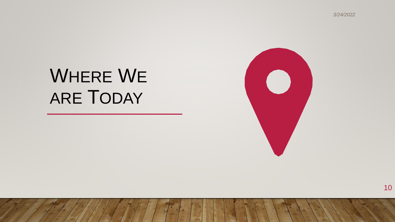*3/24/2022*

## WHERE WE ARE TODAY



10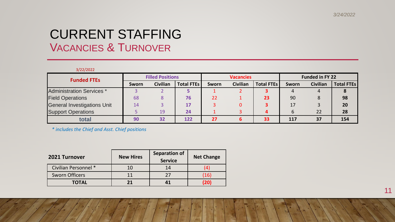#### CURRENT STAFFING VACANCIES & TURNOVER

| 3/22/2022                   |                         |                 |                   |                  |                 |                   |                        |                 |                   |
|-----------------------------|-------------------------|-----------------|-------------------|------------------|-----------------|-------------------|------------------------|-----------------|-------------------|
| <b>Funded FTEs</b>          | <b>Filled Positions</b> |                 |                   | <b>Vacancies</b> |                 |                   | <b>Funded in FY 22</b> |                 |                   |
|                             | Sworn                   | <b>Civilian</b> | <b>Total FTEs</b> | <b>Sworn</b>     | <b>Civilian</b> | <b>Total FTEs</b> | Sworn                  | <b>Civilian</b> | <b>Total FTEs</b> |
| Administration Services *   |                         |                 |                   |                  |                 | 3                 |                        | 4               |                   |
| <b>Field Operations</b>     | 68                      | 8               | 76                | 22               |                 | 23                | 90                     | 8               | 98                |
| General Investigations Unit | 14                      |                 | 17                |                  |                 |                   | 17                     |                 | 20                |
| <b>Support Operations</b>   |                         | 19              | 24                |                  |                 |                   | b                      | 22              | 28                |
| total                       | 90                      | 32              | 122               | 27               | 6               | 33                | 117                    | 37              | 154               |

*\* includes the Chief and Asst. Chief positions*

| 2021 Turnover         | <b>New Hires</b> | <b>Separation of</b><br><b>Service</b> | <b>Net Change</b> |  |
|-----------------------|------------------|----------------------------------------|-------------------|--|
| Civilian Personnel *  | 10               | 14                                     |                   |  |
| <b>Sworn Officers</b> | 11               | つフ                                     | (16)              |  |
| <b>TOTAL</b>          | 21               |                                        | (20)              |  |

11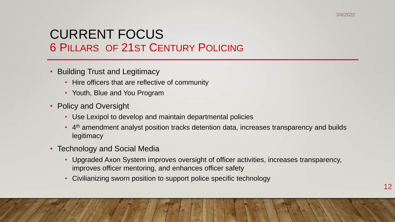### CURRENT FOCUS 6 PILLARS OF 21ST CENTURY POLICING

- Building Trust and Legitimacy
	- Hire officers that are reflective of community
	- Youth, Blue and You Program
- Policy and Oversight
	- Use Lexipol to develop and maintain departmental policies
	- 4<sup>th</sup> amendment analyst position tracks detention data, increases transparency and builds **legitimacy**
- Technology and Social Media
	- Upgraded Axon System improves oversight of officer activities, increases transparency, improves officer mentoring, and enhances officer safety
	- Civilianizing sworn position to support police specific technology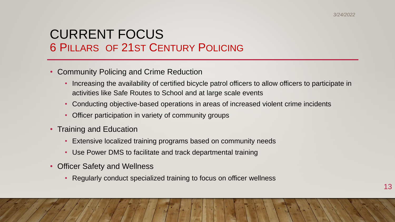#### CURRENT FOCUS 6 PILLARS OF 21ST CENTURY POLICING

- Community Policing and Crime Reduction
	- Increasing the availability of certified bicycle patrol officers to allow officers to participate in activities like Safe Routes to School and at large scale events
	- Conducting objective-based operations in areas of increased violent crime incidents
	- Officer participation in variety of community groups
- Training and Education
	- Extensive localized training programs based on community needs
	- Use Power DMS to facilitate and track departmental training
- Officer Safety and Wellness
	- Regularly conduct specialized training to focus on officer wellness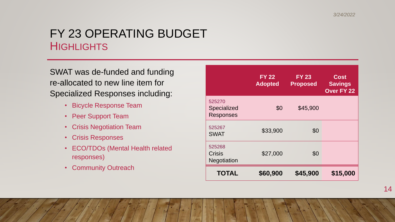#### FY 23 OPERATING BUDGET **HIGHLIGHTS**

SWAT was de-funded and funding re-allocated to new line item for Specialized Responses including:

- Bicycle Response Team
- Peer Support Team
- Crisis Negotiation Team
- Crisis Responses
- ECO/TDOs (Mental Health related responses)
- Community Outreach

|                                           | <b>FY 22</b><br><b>Adopted</b> | <b>FY 23</b><br><b>Proposed</b> | <b>Cost</b><br><b>Savings</b><br><b>Over FY 22</b> |
|-------------------------------------------|--------------------------------|---------------------------------|----------------------------------------------------|
| 525270<br>Specialized<br><b>Responses</b> | \$0                            | \$45,900                        |                                                    |
| 525267<br><b>SWAT</b>                     | \$33,900                       | \$0                             |                                                    |
| 525268<br>Crisis<br><b>Negotiation</b>    | \$27,000                       | \$0                             |                                                    |
| <b>TOTAL</b>                              | \$60,900                       | \$45,900                        | \$15,000                                           |

14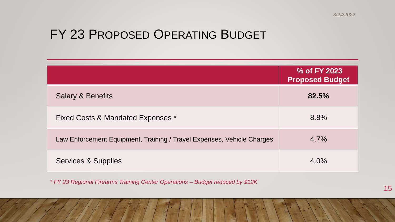## FY 23 PROPOSED OPERATING BUDGET

|                                                                        | % of FY 2023<br><b>Proposed Budget</b> |
|------------------------------------------------------------------------|----------------------------------------|
| <b>Salary &amp; Benefits</b>                                           | 82.5%                                  |
| Fixed Costs & Mandated Expenses *                                      | 8.8%                                   |
| Law Enforcement Equipment, Training / Travel Expenses, Vehicle Charges | $4.7\%$                                |
| Services & Supplies                                                    | $4.0\%$                                |

*\* FY 23 Regional Firearms Training Center Operations – Budget reduced by \$12K*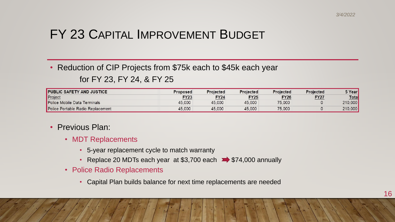## FY 23 CAPITAL IMPROVEMENT BUDGET

• Reduction of CIP Projects from \$75k each to \$45k each year

#### for FY 23, FY 24, & FY 25

| <b>PUBLIC SAFETY AND JUSTICE</b>  | <b>Proposed</b> | <b>Projected</b> | <b>Projected</b> | <b>Projected</b> | <b>Projected</b> | 5 Year <mark>I</mark> |
|-----------------------------------|-----------------|------------------|------------------|------------------|------------------|-----------------------|
| Project                           | $-Y23$          | <b>FY24</b>      | <b>FY25</b>      | <b>FY26</b>      | <u>FY27</u>      | <b>Total</b>          |
| Police Mobile Data Terminals      | 45,000          | 45,000           | 45,000           | 75,000           |                  | 210,000               |
| Police Portable Radio Replacement | 45,000          | 45,000           | 45,000           | 75,000           |                  | 210,000               |

#### • Previous Plan:

- MDT Replacements
	- 5-year replacement cycle to match warranty
	- Replace 20 MDTs each year at \$3,700 each  $\Rightarrow$  \$74,000 annually
- Police Radio Replacements
	- Capital Plan builds balance for next time replacements are needed